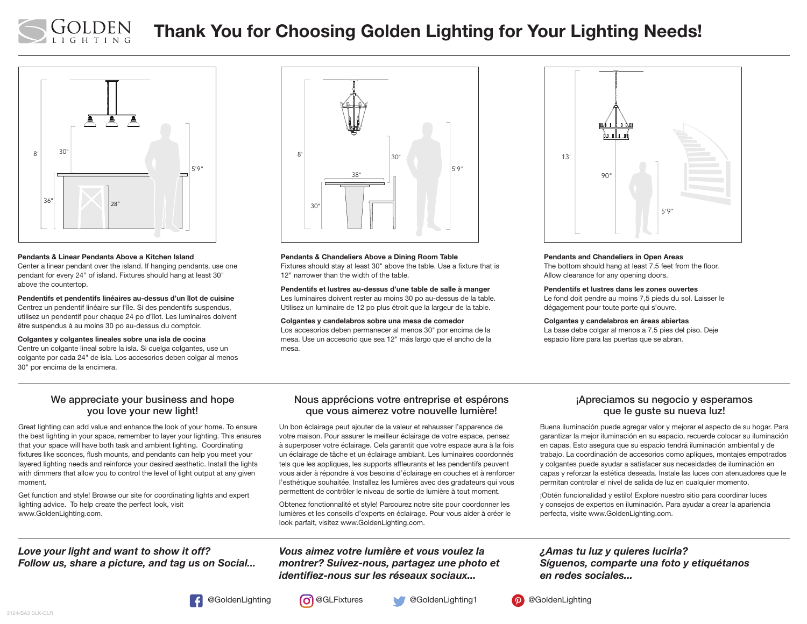

# Thank You for Choosing Golden Lighting for Your Lighting Needs!



#### Pendants & Linear Pendants Above a Kitchen Island

Center a linear pendant over the island. If hanging pendants, use one pendant for every 24" of island. Fixtures should hang at least 30" above the countertop.

Pendentifs et pendentifs linéaires au-dessus d'un îlot de cuisine Centrez un pendentif linéaire sur l'île. Si des pendentifs suspendus, utilisez un pendentif pour chaque 24 po d'îlot. Les luminaires doivent être suspendus à au moins 30 po au-dessus du comptoir.

#### Colgantes y colgantes lineales sobre una isla de cocina

Centre un colgante lineal sobre la isla. Si cuelga colgantes, use un colgante por cada 24" de isla. Los accesorios deben colgar al menos 30" por encima de la encimera.



Pendants & Chandeliers Above a Dining Room Table Fixtures should stay at least 30" above the table. Use a fixture that is 12" narrower than the width of the table.

Pendentifs et lustres au-dessus d'une table de salle à manger Les luminaires doivent rester au moins 30 po au-dessus de la table. Utilisez un luminaire de 12 po plus étroit que la largeur de la table.

Colgantes y candelabros sobre una mesa de comedor Los accesorios deben permanecer al menos 30" por encima de la

mesa. Use un accesorio que sea 12" más largo que el ancho de la mesa.



#### Pendants and Chandeliers in Open Areas

The bottom should hang at least 7.5 feet from the floor. Allow clearance for any opening doors.

#### Pendentifs et lustres dans les zones ouvertes

Le fond doit pendre au moins 7,5 pieds du sol. Laisser le dégagement pour toute porte qui s'ouvre.

#### Colgantes y candelabros en áreas abiertas

La base debe colgar al menos a 7.5 pies del piso. Deje espacio libre para las puertas que se abran.

#### We appreciate your business and hope you love your new light!

Great lighting can add value and enhance the look of your home. To ensure the best lighting in your space, remember to layer your lighting. This ensures that your space will have both task and ambient lighting. Coordinating fixtures like sconces, flush mounts, and pendants can help you meet your layered lighting needs and reinforce your desired aesthetic. Install the lights with dimmers that allow you to control the level of light output at any given moment.

Get function and style! Browse our site for coordinating lights and expert lighting advice. To help create the perfect look, visit www.GoldenLighting.com.

## *Love your light and want to show it off? Follow us, share a picture, and tag us on Social...*

#### Nous apprécions votre entreprise et espérons que vous aimerez votre nouvelle lumière!

Un bon éclairage peut ajouter de la valeur et rehausser l'apparence de votre maison. Pour assurer le meilleur éclairage de votre espace, pensez à superposer votre éclairage. Cela garantit que votre espace aura à la fois un éclairage de tâche et un éclairage ambiant. Les luminaires coordonnés tels que les appliques, les supports affleurants et les pendentifs peuvent vous aider à répondre à vos besoins d'éclairage en couches et à renforcer l'esthétique souhaitée. Installez les lumières avec des gradateurs qui vous permettent de contrôler le niveau de sortie de lumière à tout moment.

Obtenez fonctionnalité et style! Parcourez notre site pour coordonner les lumières et les conseils d'experts en éclairage. Pour vous aider à créer le look parfait, visitez www.GoldenLighting.com.

## *Vous aimez votre lumière et vous voulez la montrer? Suivez-nous, partagez une photo et identifiez-nous sur les réseaux sociaux...*

#### ¡Apreciamos su negocio y esperamos que le guste su nueva luz!

Buena iluminación puede agregar valor y mejorar el aspecto de su hogar. Para garantizar la mejor iluminación en su espacio, recuerde colocar su iluminación en capas. Esto asegura que su espacio tendrá iluminación ambiental y de trabajo. La coordinación de accesorios como apliques, montajes empotrados y colgantes puede ayudar a satisfacer sus necesidades de iluminación en capas y reforzar la estética deseada. Instale las luces con atenuadores que le permitan controlar el nivel de salida de luz en cualquier momento.

¡Obtén funcionalidad y estilo! Explore nuestro sitio para coordinar luces y consejos de expertos en iluminación. Para ayudar a crear la apariencia perfecta, visite www.GoldenLighting.com.

## *¿Amas tu luz y quieres lucirla? Síguenos, comparte una foto y etiquétanos en redes sociales...*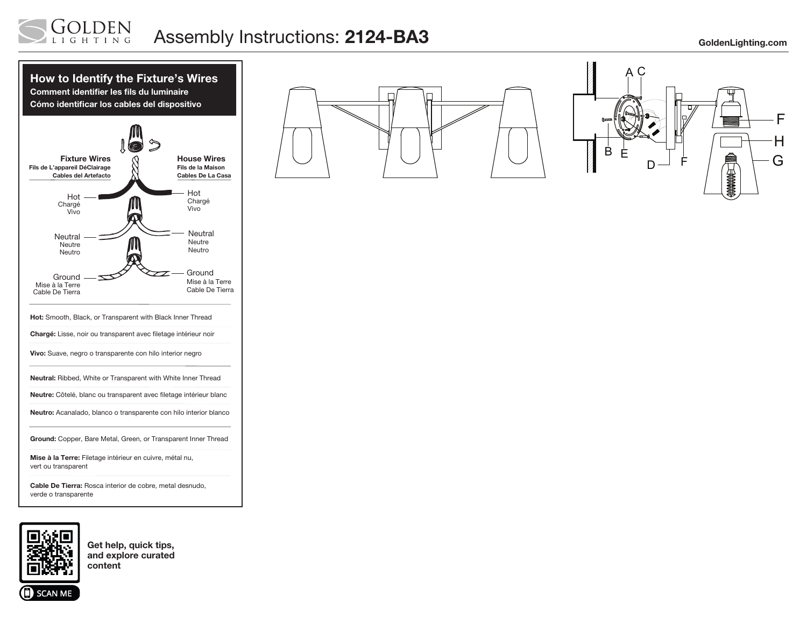#### LDEN Assembly Instructions: 2124-BA3 GoldenLighting.com GHTING







Get help, quick tips, and explore curated content

**SCAN ME**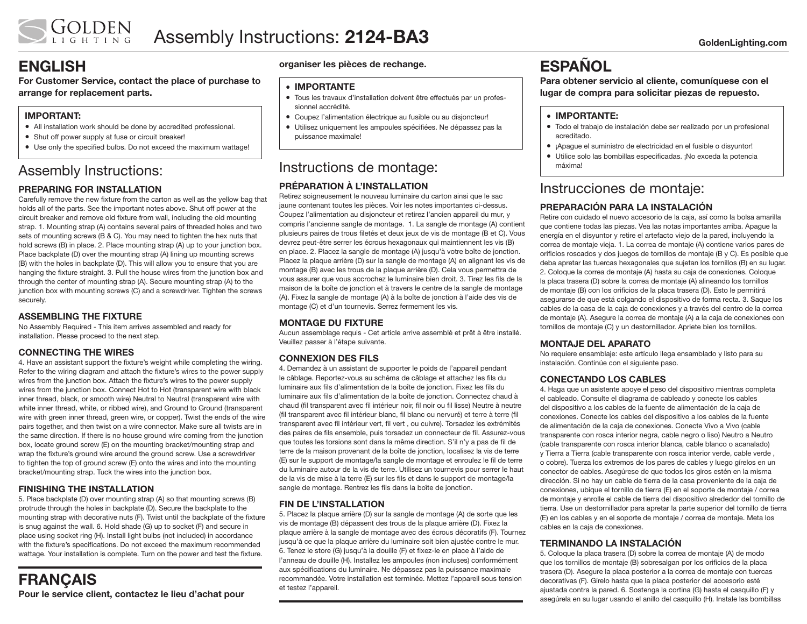# ENGLISH

For Customer Service, contact the place of purchase to arrange for replacement parts.

## IMPORTANT:

- All installation work should be done by accredited professional.
- Shut off power supply at fuse or circuit breaker!
- Use only the specified bulbs. Do not exceed the maximum wattage!

# Assembly Instructions:

### PREPARING FOR INSTALLATION

Carefully remove the new fixture from the carton as well as the yellow bag that holds all of the parts. See the important notes above. Shut off power at the circuit breaker and remove old fixture from wall, including the old mounting strap. 1. Mounting strap (A) contains several pairs of threaded holes and two sets of mounting screws (B & C). You may need to tighten the hex nuts that hold screws (B) in place. 2. Place mounting strap (A) up to your junction box. Place backplate (D) over the mounting strap (A) lining up mounting screws (B) with the holes in backplate (D). This will allow you to ensure that you are hanging the fixture straight. 3. Pull the house wires from the junction box and through the center of mounting strap (A). Secure mounting strap (A) to the junction box with mounting screws (C) and a screwdriver. Tighten the screws securely.

#### ASSEMBLING THE FIXTURE

No Assembly Required - This item arrives assembled and ready for installation. Please proceed to the next step.

### CONNECTING THE WIRES

4. Have an assistant support the fixture's weight while completing the wiring. Refer to the wiring diagram and attach the fixture's wires to the power supply wires from the junction box. Attach the fixture's wires to the power supply wires from the junction box. Connect Hot to Hot (transparent wire with black inner thread, black, or smooth wire) Neutral to Neutral (transparent wire with white inner thread, white, or ribbed wire), and Ground to Ground (transparent wire with green inner thread, green wire, or copper). Twist the ends of the wire pairs together, and then twist on a wire connector. Make sure all twists are in the same direction. If there is no house ground wire coming from the junction box, locate ground screw (E) on the mounting bracket/mounting strap and wrap the fixture's ground wire around the ground screw. Use a screwdriver to tighten the top of ground screw (E) onto the wires and into the mounting bracket/mounting strap. Tuck the wires into the junction box.

### FINISHING THE INSTALLATION

5. Place backplate (D) over mounting strap (A) so that mounting screws (B) protrude through the holes in backplate (D). Secure the backplate to the mounting strap with decorative nuts (F). Twist until the backplate of the fixture is snug against the wall. 6. Hold shade (G) up to socket (F) and secure in place using socket ring (H). Install light bulbs (not included) in accordance with the fixture's specifications. Do not exceed the maximum recommended wattage. Your installation is complete. Turn on the power and test the fixture.

## FRANÇAIS Pour le service client, contactez le lieu d'achat pour

#### organiser les pièces de rechange.

#### • IMPORTANTE

- Tous les travaux d'installation doivent être effectués par un professionnel accrédité.
- Coupez l'alimentation électrique au fusible ou au disjoncteur!
- Utilisez uniquement les ampoules spécifiées. Ne dépassez pas la puissance maximale!

# Instructions de montage:

#### PRÉPARATION À L'INSTALLATION Retirez soigneusement le nouveau luminaire du carton ainsi que le sac jaune contenant toutes les pièces. Voir les notes importantes ci-dessus. Coupez l'alimentation au disjoncteur et retirez l'ancien appareil du mur, y compris l'ancienne sangle de montage. 1. La sangle de montage (A) contient plusieurs paires de trous filetés et deux jeux de vis de montage (B et C). Vous devrez peut-être serrer les écrous hexagonaux qui maintiennent les vis (B) en place. 2. Placez la sangle de montage (A) jusqu'à votre boîte de jonction. Placez la plaque arrière (D) sur la sangle de montage (A) en alignant les vis de montage (B) avec les trous de la plaque arrière (D). Cela vous permettra de vous assurer que vous accrochez le luminaire bien droit. 3. Tirez les fils de la maison de la boîte de jonction et à travers le centre de la sangle de montage (A). Fixez la sangle de montage (A) à la boîte de jonction à l'aide des vis de montage (C) et d'un tournevis. Serrez fermement les vis.

#### MONTAGE DU FIXTURE

Aucun assemblage requis - Cet article arrive assemblé et prêt à être installé. Veuillez passer à l'étape suivante.

#### CONNEXION DES FILS

4. Demandez à un assistant de supporter le poids de l'appareil pendant le câblage. Reportez-vous au schéma de câblage et attachez les fils du luminaire aux fils d'alimentation de la boîte de jonction. Fixez les fils du luminaire aux fils d'alimentation de la boîte de jonction. Connectez chaud à chaud (fil transparent avec fil intérieur noir, fil noir ou fil lisse) Neutre à neutre (fil transparent avec fil intérieur blanc, fil blanc ou nervuré) et terre à terre (fil transparent avec fil intérieur vert, fil vert , ou cuivre). Torsadez les extrémités des paires de fils ensemble, puis torsadez un connecteur de fil. Assurez-vous que toutes les torsions sont dans la même direction. S'il n'y a pas de fil de terre de la maison provenant de la boîte de jonction, localisez la vis de terre (E) sur le support de montage/la sangle de montage et enroulez le fil de terre du luminaire autour de la vis de terre. Utilisez un tournevis pour serrer le haut de la vis de mise à la terre (E) sur les fils et dans le support de montage/la sangle de montage. Rentrez les fils dans la boîte de jonction.

#### FIN DE L'INSTALLATION

5. Placez la plaque arrière (D) sur la sangle de montage (A) de sorte que les vis de montage (B) dépassent des trous de la plaque arrière (D). Fixez la plaque arrière à la sangle de montage avec des écrous décoratifs (F). Tournez jusqu'à ce que la plaque arrière du luminaire soit bien ajustée contre le mur. 6. Tenez le store (G) jusqu'à la douille (F) et fixez-le en place à l'aide de l'anneau de douille (H). Installez les ampoules (non incluses) conformément aux spécifications du luminaire. Ne dépassez pas la puissance maximale recommandée. Votre installation est terminée. Mettez l'appareil sous tension et testez l'appareil.

# **ESPAÑOL**

Para obtener servicio al cliente, comuníquese con el lugar de compra para solicitar piezas de repuesto.

#### • IMPORTANTE:

- Todo el trabajo de instalación debe ser realizado por un profesional acreditado.
- ¡Apague el suministro de electricidad en el fusible o disyuntor!
- Utilice solo las bombillas especificadas. ¡No exceda la potencia máxima!

# Instrucciones de montaje:

## PREPARACIÓN PARA LA INSTALACIÓN

Retire con cuidado el nuevo accesorio de la caja, así como la bolsa amarilla que contiene todas las piezas. Vea las notas importantes arriba. Apague la energía en el disyuntor y retire el artefacto viejo de la pared, incluyendo la correa de montaje vieja. 1. La correa de montaje (A) contiene varios pares de orificios roscados y dos juegos de tornillos de montaje (B y C). Es posible que deba apretar las tuercas hexagonales que sujetan los tornillos (B) en su lugar. 2. Coloque la correa de montaje (A) hasta su caja de conexiones. Coloque la placa trasera (D) sobre la correa de montaje (A) alineando los tornillos de montaje (B) con los orificios de la placa trasera (D). Esto le permitirá asegurarse de que está colgando el dispositivo de forma recta. 3. Saque los cables de la casa de la caja de conexiones y a través del centro de la correa de montaje (A). Asegure la correa de montaje (A) a la caja de conexiones con tornillos de montaje (C) y un destornillador. Apriete bien los tornillos.

#### MONTAJE DEL APARATO

No requiere ensamblaje: este artículo llega ensamblado y listo para su instalación. Continúe con el siguiente paso.

#### CONECTANDO LOS CABLES

4. Haga que un asistente apoye el peso del dispositivo mientras completa el cableado. Consulte el diagrama de cableado y conecte los cables del dispositivo a los cables de la fuente de alimentación de la caja de conexiones. Conecte los cables del dispositivo a los cables de la fuente de alimentación de la caja de conexiones. Conecte Vivo a Vivo (cable transparente con rosca interior negra, cable negro o liso) Neutro a Neutro (cable transparente con rosca interior blanca, cable blanco o acanalado) y Tierra a Tierra (cable transparente con rosca interior verde, cable verde , o cobre). Tuerza los extremos de los pares de cables y luego gírelos en un conector de cables. Asegúrese de que todos los giros estén en la misma dirección. Si no hay un cable de tierra de la casa proveniente de la caja de conexiones, ubique el tornillo de tierra (E) en el soporte de montaje / correa de montaje y enrolle el cable de tierra del dispositivo alrededor del tornillo de tierra. Use un destornillador para apretar la parte superior del tornillo de tierra (E) en los cables y en el soporte de montaje / correa de montaje. Meta los cables en la caja de conexiones.

### TERMINANDO LA INSTALACIÓN

5. Coloque la placa trasera (D) sobre la correa de montaje (A) de modo que los tornillos de montaje (B) sobresalgan por los orificios de la placa trasera (D). Asegure la placa posterior a la correa de montaje con tuercas decorativas (F). Gírelo hasta que la placa posterior del accesorio esté ajustada contra la pared. 6. Sostenga la cortina (G) hasta el casquillo (F) y asegúrela en su lugar usando el anillo del casquillo (H). Instale las bombillas